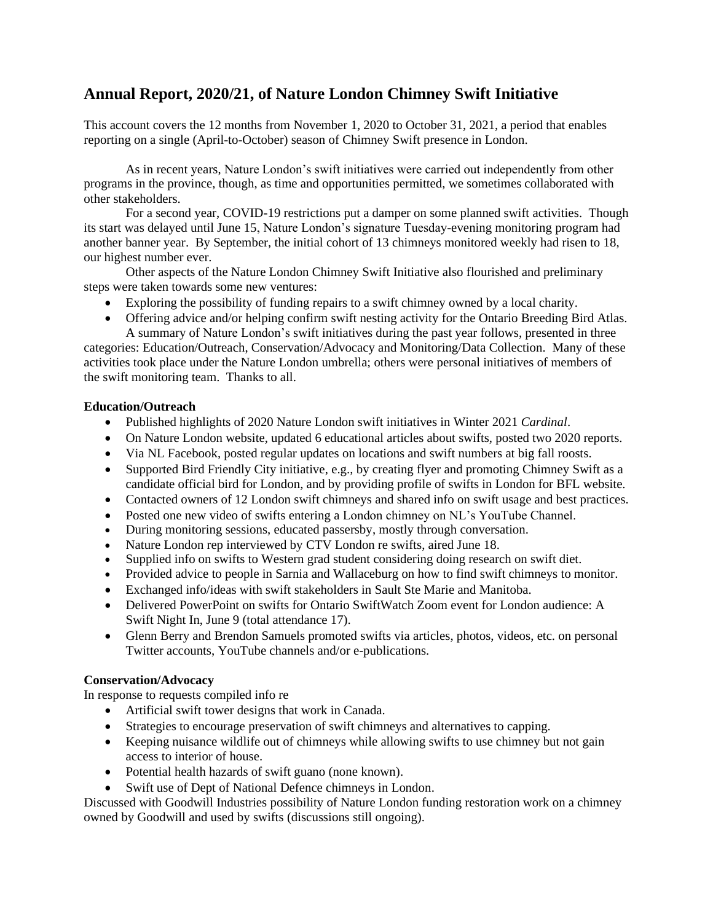# **Annual Report, 2020/21, of Nature London Chimney Swift Initiative**

This account covers the 12 months from November 1, 2020 to October 31, 2021, a period that enables reporting on a single (April-to-October) season of Chimney Swift presence in London.

As in recent years, Nature London's swift initiatives were carried out independently from other programs in the province, though, as time and opportunities permitted, we sometimes collaborated with other stakeholders.

For a second year, COVID-19 restrictions put a damper on some planned swift activities. Though its start was delayed until June 15, Nature London's signature Tuesday-evening monitoring program had another banner year. By September, the initial cohort of 13 chimneys monitored weekly had risen to 18, our highest number ever.

Other aspects of the Nature London Chimney Swift Initiative also flourished and preliminary steps were taken towards some new ventures:

- Exploring the possibility of funding repairs to a swift chimney owned by a local charity.
- Offering advice and/or helping confirm swift nesting activity for the Ontario Breeding Bird Atlas. A summary of Nature London's swift initiatives during the past year follows, presented in three

categories: Education/Outreach, Conservation/Advocacy and Monitoring/Data Collection. Many of these activities took place under the Nature London umbrella; others were personal initiatives of members of the swift monitoring team. Thanks to all.

## **Education/Outreach**

- Published highlights of 2020 Nature London swift initiatives in Winter 2021 *Cardinal*.
- On Nature London website, updated 6 educational articles about swifts, posted two 2020 reports.
- Via NL Facebook, posted regular updates on locations and swift numbers at big fall roosts.
- Supported Bird Friendly City initiative, e.g., by creating flyer and promoting Chimney Swift as a candidate official bird for London, and by providing profile of swifts in London for BFL website.
- Contacted owners of 12 London swift chimneys and shared info on swift usage and best practices.
- Posted one new video of swifts entering a London chimney on NL's YouTube Channel.
- During monitoring sessions, educated passersby, mostly through conversation.
- Nature London rep interviewed by CTV London re swifts, aired June 18.
- Supplied info on swifts to Western grad student considering doing research on swift diet.
- Provided advice to people in Sarnia and Wallaceburg on how to find swift chimneys to monitor.
- Exchanged info/ideas with swift stakeholders in Sault Ste Marie and Manitoba.
- Delivered PowerPoint on swifts for Ontario SwiftWatch Zoom event for London audience: A Swift Night In, June 9 (total attendance 17).
- Glenn Berry and Brendon Samuels promoted swifts via articles, photos, videos, etc. on personal Twitter accounts, YouTube channels and/or e-publications.

## **Conservation/Advocacy**

In response to requests compiled info re

- Artificial swift tower designs that work in Canada.
- Strategies to encourage preservation of swift chimneys and alternatives to capping.
- Keeping nuisance wildlife out of chimneys while allowing swifts to use chimney but not gain access to interior of house.
- Potential health hazards of swift guano (none known).
- Swift use of Dept of National Defence chimneys in London.

Discussed with Goodwill Industries possibility of Nature London funding restoration work on a chimney owned by Goodwill and used by swifts (discussions still ongoing).